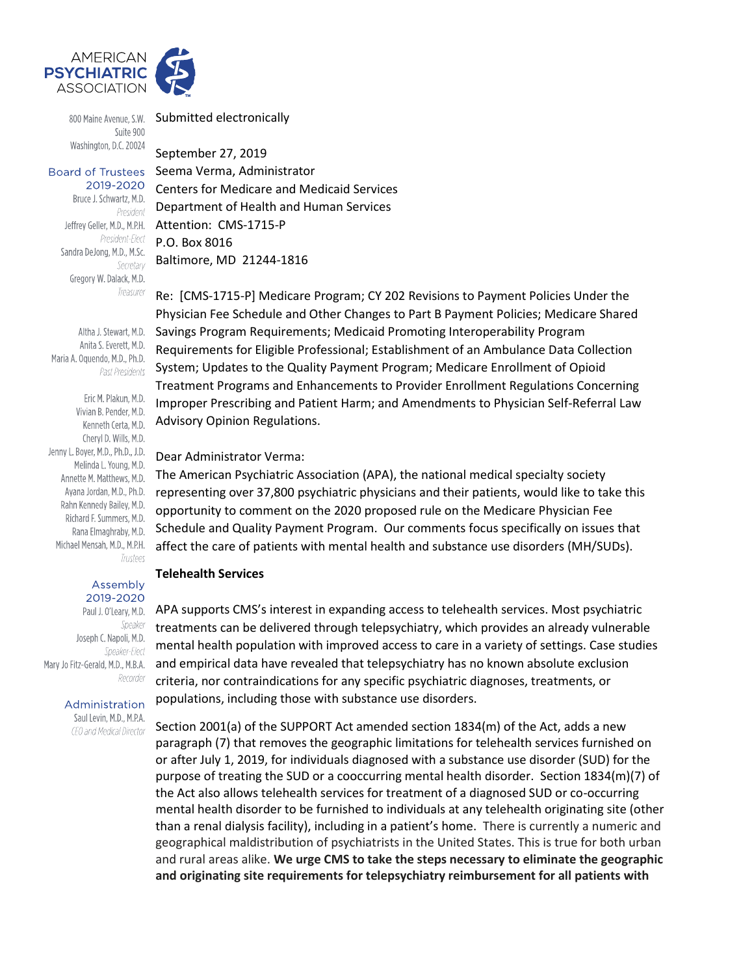

Suite 900 Washington, D.C. 20024

**Board of Trustees** 2019-2020

Bruce J. Schwartz, M.D. President President-Elect Sandra DeJong, M.D., M.Sc. Secretary Gregory W. Dalack, M.D. Treasurer

Altha J. Stewart, M.D. Anita S. Everett, M.D. Maria A. Oquendo, M.D., Ph.D. Past Presidents

Eric M. Plakun, M.D. Vivian B. Pender, M.D. Cheryl D. Wills, M.D. Jenny L. Boyer, M.D., Ph.D., J.D. Melinda L. Young, M.D. Annette M. Matthews, M.D. Rahn Kennedy Bailey, M.D. Richard F. Summers, M.D. Trustees

> Assembly 2019-2020

Paul J. O'Leary, M.D. Speaker Joseph C. Napoli, M.D. Speaker-Flect Recorder

> Administration Saul Levin, M.D., M.P.A.

CEO and Medical Director

800 Maine Avenue, S.W. Submitted electronically

September 27, 2019 Seema Verma, Administrator Centers for Medicare and Medicaid Services Department of Health and Human Services Jeffrey Geller, M.D., M.P.H. Attention: CMS-1715-P P.O. Box 8016 Baltimore, MD 21244-1816

Re: [CMS-1715-P] Medicare Program; CY 202 Revisions to Payment Policies Under the Physician Fee Schedule and Other Changes to Part B Payment Policies; Medicare Shared Savings Program Requirements; Medicaid Promoting Interoperability Program Requirements for Eligible Professional; Establishment of an Ambulance Data Collection System; Updates to the Quality Payment Program; Medicare Enrollment of Opioid Treatment Programs and Enhancements to Provider Enrollment Regulations Concerning Improper Prescribing and Patient Harm; and Amendments to Physician Self-Referral Law Kenneth Certa, M.D. Advisory Opinion Regulations.

#### Dear Administrator Verma:

The American Psychiatric Association (APA), the national medical specialty society Ayana Jordan, M.D., Ph.D. representing over 37,800 psychiatric physicians and their patients, would like to take this opportunity to comment on the 2020 proposed rule on the Medicare Physician Fee Rana Elmaghraby, M.D. Schedule and Quality Payment Program. Our comments focus specifically on issues that Michael Mensah, M.D., M.P.H. affect the care of patients with mental health and substance use disorders (MH/SUDs).

#### **Telehealth Services**

APA supports CMS's interest in expanding access to telehealth services. Most psychiatric treatments can be delivered through telepsychiatry, which provides an already vulnerable mental health population with improved access to care in a variety of settings. Case studies Mary Jo Fitz-Gerald, M.D., M.B.A. and empirical data have revealed that telepsychiatry has no known absolute exclusion criteria, nor contraindications for any specific psychiatric diagnoses, treatments, or populations, including those with substance use disorders.

> Section 2001(a) of the SUPPORT Act amended section 1834(m) of the Act, adds a new paragraph (7) that removes the geographic limitations for telehealth services furnished on or after July 1, 2019, for individuals diagnosed with a substance use disorder (SUD) for the purpose of treating the SUD or a cooccurring mental health disorder. Section 1834(m)(7) of the Act also allows telehealth services for treatment of a diagnosed SUD or co-occurring mental health disorder to be furnished to individuals at any telehealth originating site (other than a renal dialysis facility), including in a patient's home. There is currently a numeric and geographical maldistribution of psychiatrists in the United States. This is true for both urban and rural areas alike. **We urge CMS to take the steps necessary to eliminate the geographic and originating site requirements for telepsychiatry reimbursement for all patients with**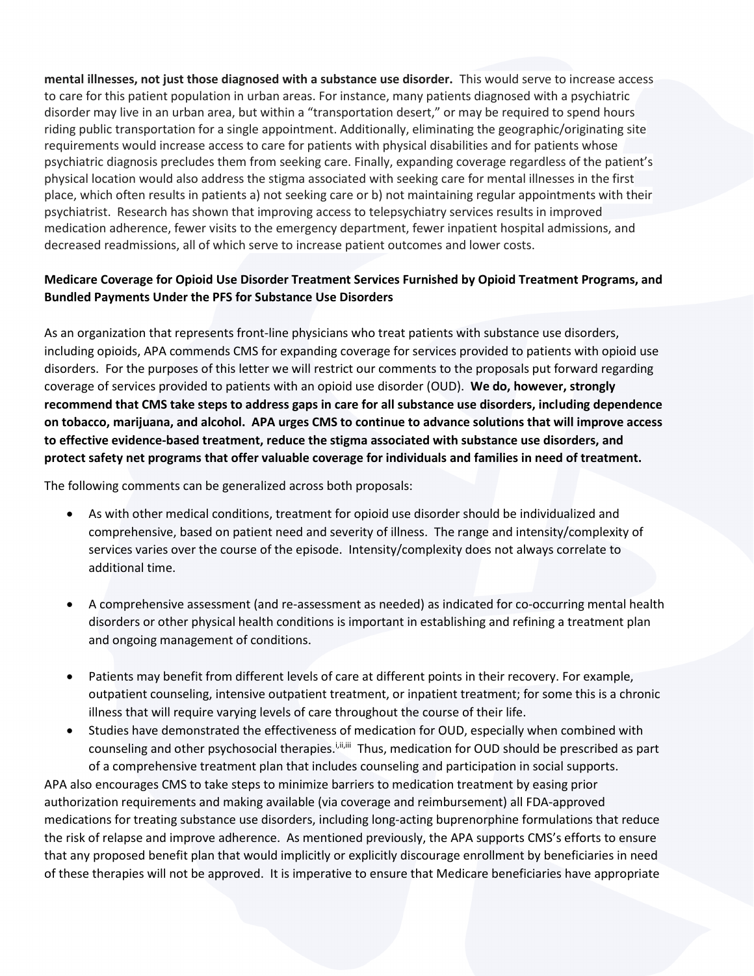**mental illnesses, not just those diagnosed with a substance use disorder.** This would serve to increase access to care for this patient population in urban areas. For instance, many patients diagnosed with a psychiatric disorder may live in an urban area, but within a "transportation desert," or may be required to spend hours riding public transportation for a single appointment. Additionally, eliminating the geographic/originating site requirements would increase access to care for patients with physical disabilities and for patients whose psychiatric diagnosis precludes them from seeking care. Finally, expanding coverage regardless of the patient's physical location would also address the stigma associated with seeking care for mental illnesses in the first place, which often results in patients a) not seeking care or b) not maintaining regular appointments with their psychiatrist. Research has shown that improving access to telepsychiatry services results in improved medication adherence, fewer visits to the emergency department, fewer inpatient hospital admissions, and decreased readmissions, all of which serve to increase patient outcomes and lower costs.

# **Medicare Coverage for Opioid Use Disorder Treatment Services Furnished by Opioid Treatment Programs, and Bundled Payments Under the PFS for Substance Use Disorders**

As an organization that represents front-line physicians who treat patients with substance use disorders, including opioids, APA commends CMS for expanding coverage for services provided to patients with opioid use disorders. For the purposes of this letter we will restrict our comments to the proposals put forward regarding coverage of services provided to patients with an opioid use disorder (OUD). **We do, however, strongly recommend that CMS take steps to address gaps in care for all substance use disorders, including dependence on tobacco, marijuana, and alcohol. APA urges CMS to continue to advance solutions that will improve access to effective evidence‐based treatment, reduce the stigma associated with substance use disorders, and protect safety net programs that offer valuable coverage for individuals and families in need of treatment.**

The following comments can be generalized across both proposals:

- As with other medical conditions, treatment for opioid use disorder should be individualized and comprehensive, based on patient need and severity of illness. The range and intensity/complexity of services varies over the course of the episode. Intensity/complexity does not always correlate to additional time.
- A comprehensive assessment (and re-assessment as needed) as indicated for co-occurring mental health disorders or other physical health conditions is important in establishing and refining a treatment plan and ongoing management of conditions.
- Patients may benefit from different levels of care at different points in their recovery. For example, outpatient counseling, intensive outpatient treatment, or inpatient treatment; for some this is a chronic illness that will require varying levels of care throughout the course of their life.
- Studies have demonstrated the effectiveness of medication for OUD, especially when combined with counseling and other psychosocial therapies.<sup>i,ii,iii</sup> Thus, medication for OUD should be prescribed as part of a comprehensive treatment plan that includes counseling and participation in social supports.

APA also encourages CMS to take steps to minimize barriers to medication treatment by easing prior authorization requirements and making available (via coverage and reimbursement) all FDA‐approved medications for treating substance use disorders, including long‐acting buprenorphine formulations that reduce the risk of relapse and improve adherence. As mentioned previously, the APA supports CMS's efforts to ensure that any proposed benefit plan that would implicitly or explicitly discourage enrollment by beneficiaries in need of these therapies will not be approved. It is imperative to ensure that Medicare beneficiaries have appropriate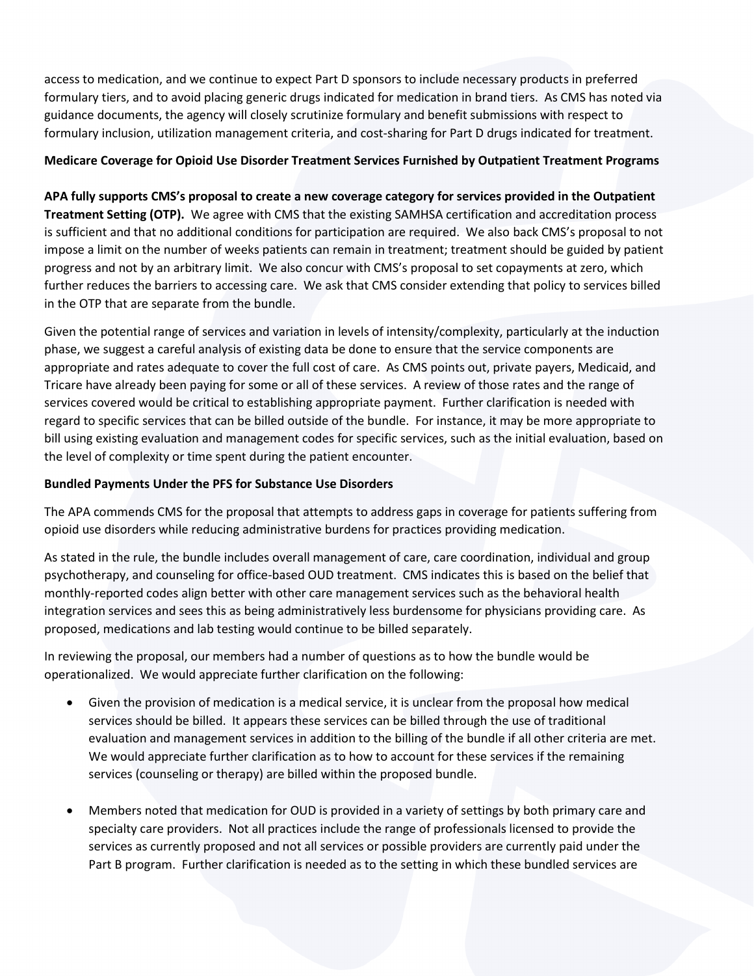access to medication, and we continue to expect Part D sponsors to include necessary products in preferred formulary tiers, and to avoid placing generic drugs indicated for medication in brand tiers. As CMS has noted via guidance documents, the agency will closely scrutinize formulary and benefit submissions with respect to formulary inclusion, utilization management criteria, and cost‐sharing for Part D drugs indicated for treatment.

## **Medicare Coverage for Opioid Use Disorder Treatment Services Furnished by Outpatient Treatment Programs**

**APA fully supports CMS's proposal to create a new coverage category for services provided in the Outpatient Treatment Setting (OTP).** We agree with CMS that the existing SAMHSA certification and accreditation process is sufficient and that no additional conditions for participation are required. We also back CMS's proposal to not impose a limit on the number of weeks patients can remain in treatment; treatment should be guided by patient progress and not by an arbitrary limit. We also concur with CMS's proposal to set copayments at zero, which further reduces the barriers to accessing care. We ask that CMS consider extending that policy to services billed in the OTP that are separate from the bundle.

Given the potential range of services and variation in levels of intensity/complexity, particularly at the induction phase, we suggest a careful analysis of existing data be done to ensure that the service components are appropriate and rates adequate to cover the full cost of care. As CMS points out, private payers, Medicaid, and Tricare have already been paying for some or all of these services. A review of those rates and the range of services covered would be critical to establishing appropriate payment. Further clarification is needed with regard to specific services that can be billed outside of the bundle. For instance, it may be more appropriate to bill using existing evaluation and management codes for specific services, such as the initial evaluation, based on the level of complexity or time spent during the patient encounter.

### **Bundled Payments Under the PFS for Substance Use Disorders**

The APA commends CMS for the proposal that attempts to address gaps in coverage for patients suffering from opioid use disorders while reducing administrative burdens for practices providing medication.

As stated in the rule, the bundle includes overall management of care, care coordination, individual and group psychotherapy, and counseling for office-based OUD treatment. CMS indicates this is based on the belief that monthly-reported codes align better with other care management services such as the behavioral health integration services and sees this as being administratively less burdensome for physicians providing care. As proposed, medications and lab testing would continue to be billed separately.

In reviewing the proposal, our members had a number of questions as to how the bundle would be operationalized. We would appreciate further clarification on the following:

- Given the provision of medication is a medical service, it is unclear from the proposal how medical services should be billed. It appears these services can be billed through the use of traditional evaluation and management services in addition to the billing of the bundle if all other criteria are met. We would appreciate further clarification as to how to account for these services if the remaining services (counseling or therapy) are billed within the proposed bundle.
- Members noted that medication for OUD is provided in a variety of settings by both primary care and specialty care providers. Not all practices include the range of professionals licensed to provide the services as currently proposed and not all services or possible providers are currently paid under the Part B program. Further clarification is needed as to the setting in which these bundled services are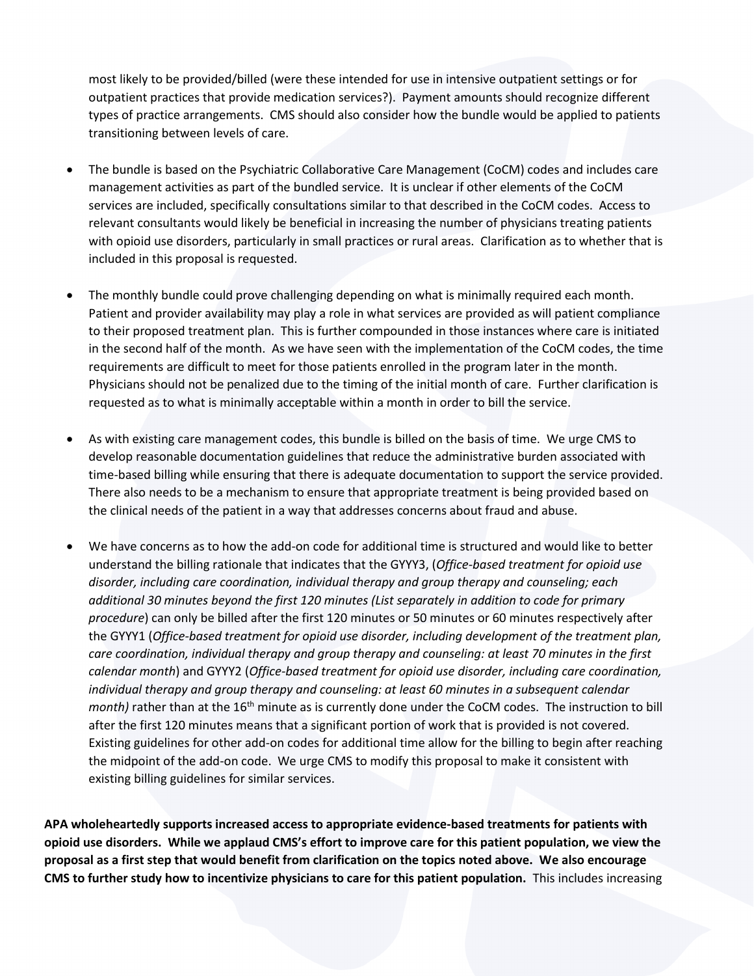most likely to be provided/billed (were these intended for use in intensive outpatient settings or for outpatient practices that provide medication services?). Payment amounts should recognize different types of practice arrangements. CMS should also consider how the bundle would be applied to patients transitioning between levels of care.

- The bundle is based on the Psychiatric Collaborative Care Management (CoCM) codes and includes care management activities as part of the bundled service. It is unclear if other elements of the CoCM services are included, specifically consultations similar to that described in the CoCM codes. Access to relevant consultants would likely be beneficial in increasing the number of physicians treating patients with opioid use disorders, particularly in small practices or rural areas. Clarification as to whether that is included in this proposal is requested.
- The monthly bundle could prove challenging depending on what is minimally required each month. Patient and provider availability may play a role in what services are provided as will patient compliance to their proposed treatment plan. This is further compounded in those instances where care is initiated in the second half of the month. As we have seen with the implementation of the CoCM codes, the time requirements are difficult to meet for those patients enrolled in the program later in the month. Physicians should not be penalized due to the timing of the initial month of care. Further clarification is requested as to what is minimally acceptable within a month in order to bill the service.
- As with existing care management codes, this bundle is billed on the basis of time. We urge CMS to develop reasonable documentation guidelines that reduce the administrative burden associated with time-based billing while ensuring that there is adequate documentation to support the service provided. There also needs to be a mechanism to ensure that appropriate treatment is being provided based on the clinical needs of the patient in a way that addresses concerns about fraud and abuse.
- We have concerns as to how the add-on code for additional time is structured and would like to better understand the billing rationale that indicates that the GYYY3, (*Office-based treatment for opioid use disorder, including care coordination, individual therapy and group therapy and counseling; each additional 30 minutes beyond the first 120 minutes (List separately in addition to code for primary procedure*) can only be billed after the first 120 minutes or 50 minutes or 60 minutes respectively after the GYYY1 (*Office-based treatment for opioid use disorder, including development of the treatment plan, care coordination, individual therapy and group therapy and counseling: at least 70 minutes in the first calendar month*) and GYYY2 (*Office-based treatment for opioid use disorder, including care coordination, individual therapy and group therapy and counseling: at least 60 minutes in a subsequent calendar month)* rather than at the 16<sup>th</sup> minute as is currently done under the CoCM codes. The instruction to bill after the first 120 minutes means that a significant portion of work that is provided is not covered. Existing guidelines for other add-on codes for additional time allow for the billing to begin after reaching the midpoint of the add-on code. We urge CMS to modify this proposal to make it consistent with existing billing guidelines for similar services.

**APA wholeheartedly supports increased access to appropriate evidence-based treatments for patients with opioid use disorders. While we applaud CMS's effort to improve care for this patient population, we view the proposal as a first step that would benefit from clarification on the topics noted above. We also encourage CMS to further study how to incentivize physicians to care for this patient population.** This includes increasing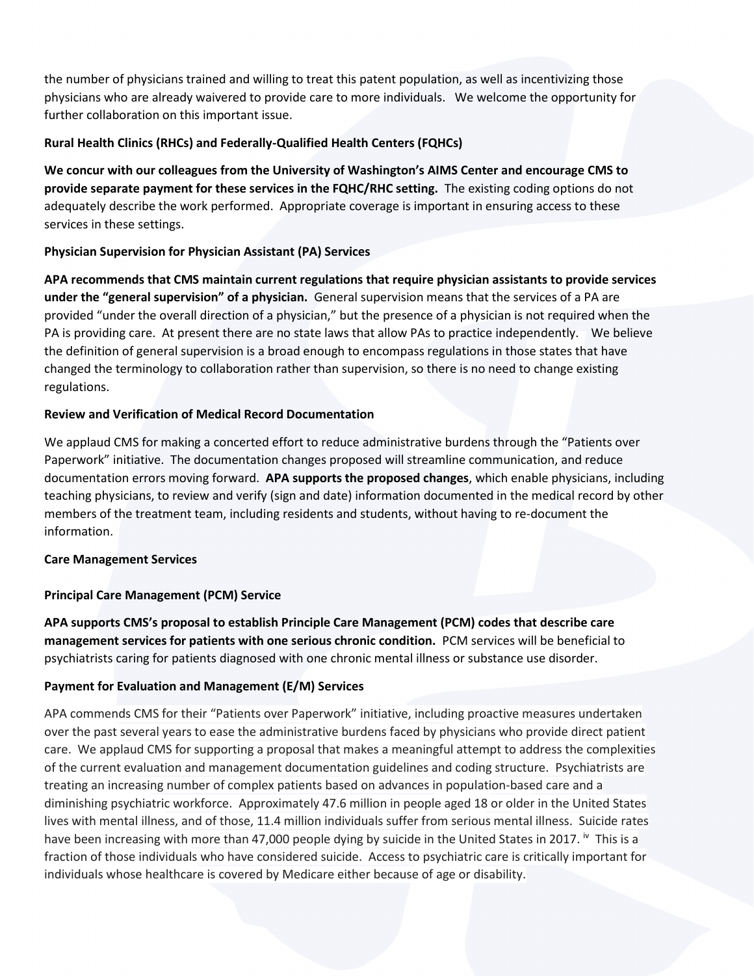the number of physicians trained and willing to treat this patent population, as well as incentivizing those physicians who are already waivered to provide care to more individuals. We welcome the opportunity for further collaboration on this important issue.

## **Rural Health Clinics (RHCs) and Federally-Qualified Health Centers (FQHCs)**

**We concur with our colleagues from the University of Washington's AIMS Center and encourage CMS to provide separate payment for these services in the FQHC/RHC setting.** The existing coding options do not adequately describe the work performed. Appropriate coverage is important in ensuring access to these services in these settings.

## **Physician Supervision for Physician Assistant (PA) Services**

**APA recommends that CMS maintain current regulations that require physician assistants to provide services under the "general supervision" of a physician.** General supervision means that the services of a PA are provided "under the overall direction of a physician," but the presence of a physician is not required when the PA is providing care. At present there are no state laws that allow PAs to practice independently. We believe the definition of general supervision is a broad enough to encompass regulations in those states that have changed the terminology to collaboration rather than supervision, so there is no need to change existing regulations.

## **Review and Verification of Medical Record Documentation**

We applaud CMS for making a concerted effort to reduce administrative burdens through the "Patients over Paperwork" initiative. The documentation changes proposed will streamline communication, and reduce documentation errors moving forward. **APA supports the proposed changes**, which enable physicians, including teaching physicians, to review and verify (sign and date) information documented in the medical record by other members of the treatment team, including residents and students, without having to re-document the information.

### **Care Management Services**

## **Principal Care Management (PCM) Service**

**APA supports CMS's proposal to establish Principle Care Management (PCM) codes that describe care management services for patients with one serious chronic condition.** PCM services will be beneficial to psychiatrists caring for patients diagnosed with one chronic mental illness or substance use disorder.

### **Payment for Evaluation and Management (E/M) Services**

APA commends CMS for their "Patients over Paperwork" initiative, including proactive measures undertaken over the past several years to ease the administrative burdens faced by physicians who provide direct patient care. We applaud CMS for supporting a proposal that makes a meaningful attempt to address the complexities of the current evaluation and management documentation guidelines and coding structure. Psychiatrists are treating an increasing number of complex patients based on advances in population‐based care and a diminishing psychiatric workforce. Approximately 47.6 million in people aged 18 or older in the United States lives with mental illness, and of those, 11.4 million individuals suffer from serious mental illness. Suicide rates have been increasing with more than 47,000 people dying by suicide in the United States in 2017. <sup>iv</sup> This is a fraction of those individuals who have considered suicide. Access to psychiatric care is critically important for individuals whose healthcare is covered by Medicare either because of age or disability.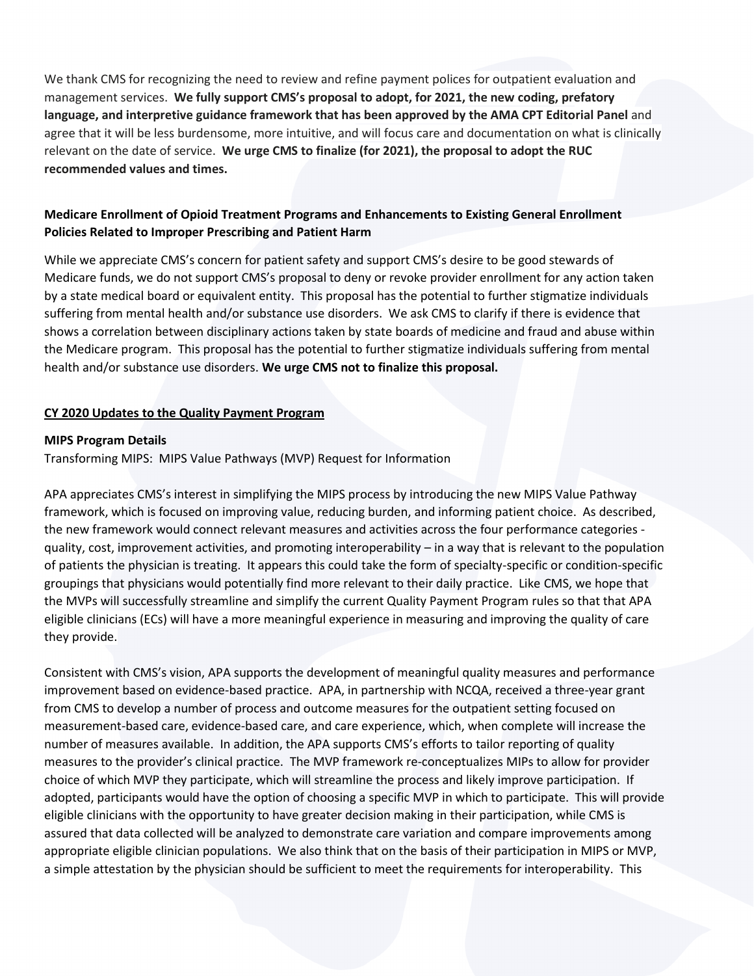We thank CMS for recognizing the need to review and refine payment polices for outpatient evaluation and management services. **We fully support CMS's proposal to adopt, for 2021, the new coding, prefatory language, and interpretive guidance framework that has been approved by the AMA CPT Editorial Panel** and agree that it will be less burdensome, more intuitive, and will focus care and documentation on what is clinically relevant on the date of service. **We urge CMS to finalize (for 2021), the proposal to adopt the RUC recommended values and times.**

# **Medicare Enrollment of Opioid Treatment Programs and Enhancements to Existing General Enrollment Policies Related to Improper Prescribing and Patient Harm**

While we appreciate CMS's concern for patient safety and support CMS's desire to be good stewards of Medicare funds, we do not support CMS's proposal to deny or revoke provider enrollment for any action taken by a state medical board or equivalent entity. This proposal has the potential to further stigmatize individuals suffering from mental health and/or substance use disorders. We ask CMS to clarify if there is evidence that shows a correlation between disciplinary actions taken by state boards of medicine and fraud and abuse within the Medicare program. This proposal has the potential to further stigmatize individuals suffering from mental health and/or substance use disorders. **We urge CMS not to finalize this proposal.**

## **CY 2020 Updates to the Quality Payment Program**

### **MIPS Program Details**

Transforming MIPS: MIPS Value Pathways (MVP) Request for Information

APA appreciates CMS's interest in simplifying the MIPS process by introducing the new MIPS Value Pathway framework, which is focused on improving value, reducing burden, and informing patient choice. As described, the new framework would connect relevant measures and activities across the four performance categories quality, cost, improvement activities, and promoting interoperability – in a way that is relevant to the population of patients the physician is treating. It appears this could take the form of specialty-specific or condition-specific groupings that physicians would potentially find more relevant to their daily practice. Like CMS, we hope that the MVPs will successfully streamline and simplify the current Quality Payment Program rules so that that APA eligible clinicians (ECs) will have a more meaningful experience in measuring and improving the quality of care they provide.

Consistent with CMS's vision, APA supports the development of meaningful quality measures and performance improvement based on evidence-based practice. APA, in partnership with NCQA, received a three-year grant from CMS to develop a number of process and outcome measures for the outpatient setting focused on measurement-based care, evidence-based care, and care experience, which, when complete will increase the number of measures available. In addition, the APA supports CMS's efforts to tailor reporting of quality measures to the provider's clinical practice. The MVP framework re-conceptualizes MIPs to allow for provider choice of which MVP they participate, which will streamline the process and likely improve participation. If adopted, participants would have the option of choosing a specific MVP in which to participate. This will provide eligible clinicians with the opportunity to have greater decision making in their participation, while CMS is assured that data collected will be analyzed to demonstrate care variation and compare improvements among appropriate eligible clinician populations. We also think that on the basis of their participation in MIPS or MVP, a simple attestation by the physician should be sufficient to meet the requirements for interoperability. This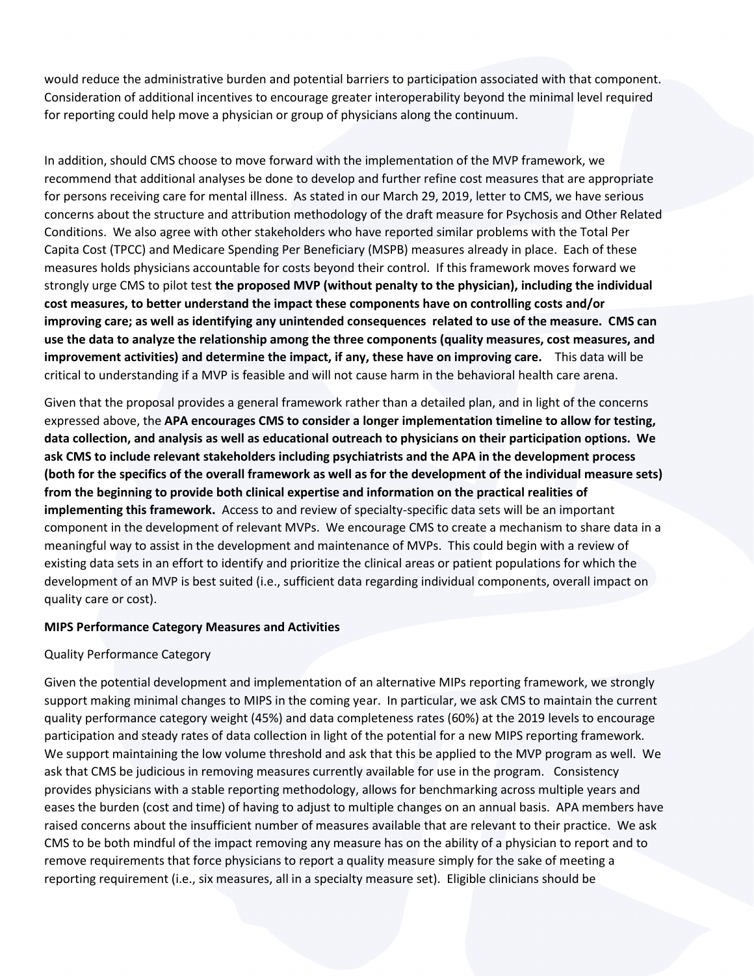would reduce the administrative burden and potential barriers to participation associated with that component. Consideration of additional incentives to encourage greater interoperability beyond the minimal level required for reporting could help move a physician or group of physicians along the continuum.

In addition, should CMS choose to move forward with the implementation of the MVP framework, we recommend that additional analyses be done to develop and further refine cost measures that are appropriate for persons receiving care for mental illness. As stated in our March 29, 2019, letter to CMS, we have serious concerns about the structure and attribution methodology of the draft measure for Psychosis and Other Related Conditions. We also agree with other stakeholders who have reported similar problems with the Total Per Capita Cost (TPCC) and Medicare Spending Per Beneficiary (MSPB) measures already in place. Each of these measures holds physicians accountable for costs beyond their control. If this framework moves forward we strongly urge CMS to pilot test **the proposed MVP (without penalty to the physician), including the individual cost measures, to better understand the impact these components have on controlling costs and/or improving care; as well as identifying any unintended consequences related to use of the measure. CMS can use the data to analyze the relationship among the three components (quality measures, cost measures, and improvement activities) and determine the impact, if any, these have on improving care.** This data will be critical to understanding if a MVP is feasible and will not cause harm in the behavioral health care arena.

Given that the proposal provides a general framework rather than a detailed plan, and in light of the concerns expressed above, the **APA encourages CMS to consider a longer implementation timeline to allow for testing, data collection, and analysis as well as educational outreach to physicians on their participation options. We ask CMS to include relevant stakeholders including psychiatrists and the APA in the development process (both for the specifics of the overall framework as well as for the development of the individual measure sets) from the beginning to provide both clinical expertise and information on the practical realities of implementing this framework.** Access to and review of specialty-specific data sets will be an important component in the development of relevant MVPs. We encourage CMS to create a mechanism to share data in a meaningful way to assist in the development and maintenance of MVPs. This could begin with a review of existing data sets in an effort to identify and prioritize the clinical areas or patient populations for which the development of an MVP is best suited (i.e., sufficient data regarding individual components, overall impact on quality care or cost).

### **MIPS Performance Category Measures and Activities**

#### Quality Performance Category

Given the potential development and implementation of an alternative MIPs reporting framework, we strongly support making minimal changes to MIPS in the coming year. In particular, we ask CMS to maintain the current quality performance category weight (45%) and data completeness rates (60%) at the 2019 levels to encourage participation and steady rates of data collection in light of the potential for a new MIPS reporting framework. We support maintaining the low volume threshold and ask that this be applied to the MVP program as well. We ask that CMS be judicious in removing measures currently available for use in the program. Consistency provides physicians with a stable reporting methodology, allows for benchmarking across multiple years and eases the burden (cost and time) of having to adjust to multiple changes on an annual basis. APA members have raised concerns about the insufficient number of measures available that are relevant to their practice. We ask CMS to be both mindful of the impact removing any measure has on the ability of a physician to report and to remove requirements that force physicians to report a quality measure simply for the sake of meeting a reporting requirement (i.e., six measures, all in a specialty measure set). Eligible clinicians should be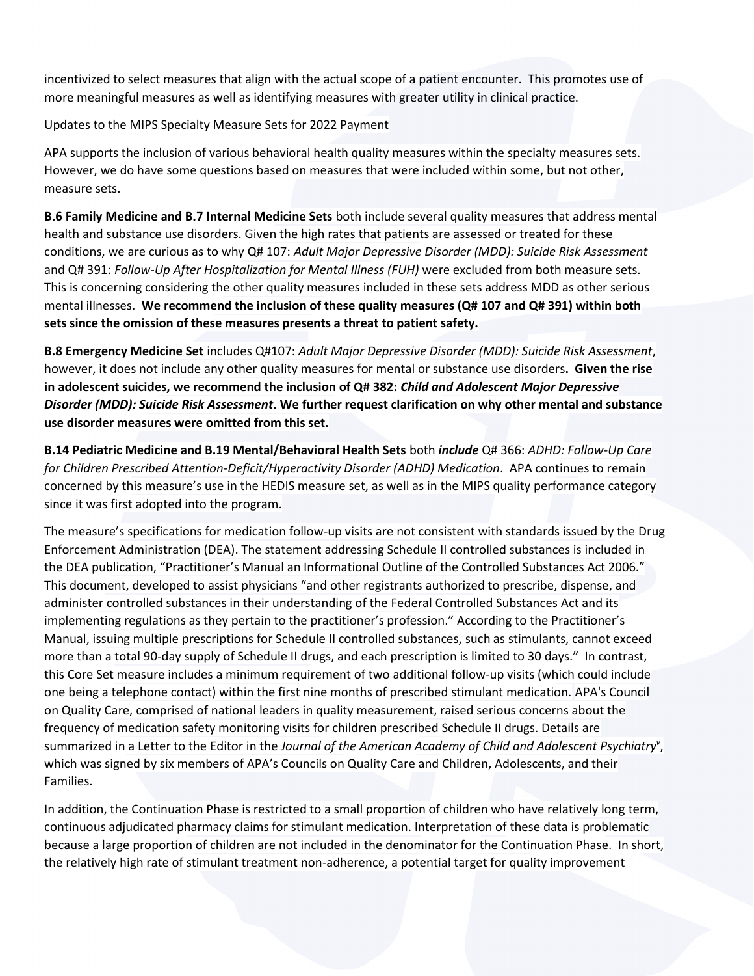incentivized to select measures that align with the actual scope of a patient encounter. This promotes use of more meaningful measures as well as identifying measures with greater utility in clinical practice.

Updates to the MIPS Specialty Measure Sets for 2022 Payment

APA supports the inclusion of various behavioral health quality measures within the specialty measures sets. However, we do have some questions based on measures that were included within some, but not other, measure sets.

**B.6 Family Medicine and B.7 Internal Medicine Sets** both include several quality measures that address mental health and substance use disorders. Given the high rates that patients are assessed or treated for these conditions, we are curious as to why Q# 107: *Adult Major Depressive Disorder (MDD): Suicide Risk Assessment* and Q# 391: *Follow-Up After Hospitalization for Mental Illness (FUH)* were excluded from both measure sets. This is concerning considering the other quality measures included in these sets address MDD as other serious mental illnesses. **We recommend the inclusion of these quality measures (Q# 107 and Q# 391) within both sets since the omission of these measures presents a threat to patient safety.**

**B.8 Emergency Medicine Set** includes Q#107: *Adult Major Depressive Disorder (MDD): Suicide Risk Assessment*, however, it does not include any other quality measures for mental or substance use disorders**. Given the rise in adolescent suicides, we recommend the inclusion of Q# 382:** *Child and Adolescent Major Depressive Disorder (MDD): Suicide Risk Assessment***. We further request clarification on why other mental and substance use disorder measures were omitted from this set.**

**B.14 Pediatric Medicine and B.19 Mental/Behavioral Health Sets** both *include* Q# 366: *ADHD: Follow-Up Care for Children Prescribed Attention-Deficit/Hyperactivity Disorder (ADHD) Medication*. APA continues to remain concerned by this measure's use in the HEDIS measure set, as well as in the MIPS quality performance category since it was first adopted into the program.

The measure's specifications for medication follow-up visits are not consistent with standards issued by the Drug Enforcement Administration (DEA). The statement addressing Schedule II controlled substances is included in the DEA publication, "Practitioner's Manual an Informational Outline of the Controlled Substances Act 2006." This document, developed to assist physicians "and other registrants authorized to prescribe, dispense, and administer controlled substances in their understanding of the Federal Controlled Substances Act and its implementing regulations as they pertain to the practitioner's profession." According to the Practitioner's Manual, issuing multiple prescriptions for Schedule II controlled substances, such as stimulants, cannot exceed more than a total 90-day supply of Schedule II drugs, and each prescription is limited to 30 days." In contrast, this Core Set measure includes a minimum requirement of two additional follow-up visits (which could include one being a telephone contact) within the first nine months of prescribed stimulant medication. APA's Council on Quality Care, comprised of national leaders in quality measurement, raised serious concerns about the frequency of medication safety monitoring visits for children prescribed Schedule II drugs. Details are summarized in a Letter to the Editor in the *Journal of the American Academy of Child and Adolescent Psychiatry<sup>v</sup>* , which was signed by six members of APA's Councils on Quality Care and Children, Adolescents, and their Families.

In addition, the Continuation Phase is restricted to a small proportion of children who have relatively long term, continuous adjudicated pharmacy claims for stimulant medication. Interpretation of these data is problematic because a large proportion of children are not included in the denominator for the Continuation Phase. In short, the relatively high rate of stimulant treatment non-adherence, a potential target for quality improvement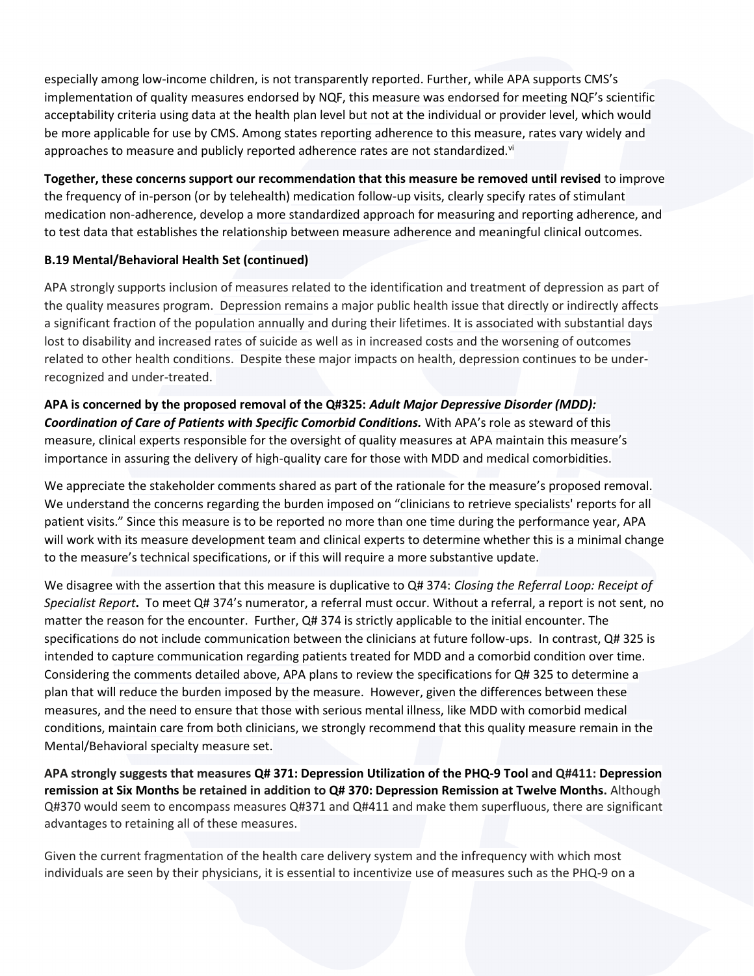especially among low-income children, is not transparently reported. Further, while APA supports CMS's implementation of quality measures endorsed by NQF, this measure was endorsed for meeting NQF's scientific acceptability criteria using data at the health plan level but not at the individual or provider level, which would be more applicable for use by CMS. Among states reporting adherence to this measure, rates vary widely and approaches to measure and publicly reported adherence rates are not standardized. $v_i$ 

**Together, these concerns support our recommendation that this measure be removed until revised** to improve the frequency of in-person (or by telehealth) medication follow-up visits, clearly specify rates of stimulant medication non-adherence, develop a more standardized approach for measuring and reporting adherence, and to test data that establishes the relationship between measure adherence and meaningful clinical outcomes.

## **B.19 Mental/Behavioral Health Set (continued)**

APA strongly supports inclusion of measures related to the identification and treatment of depression as part of the quality measures program. Depression remains a major public health issue that directly or indirectly affects a significant fraction of the population annually and during their lifetimes. It is associated with substantial days lost to disability and increased rates of suicide as well as in increased costs and the worsening of outcomes related to other health conditions. Despite these major impacts on health, depression continues to be underrecognized and under-treated.

## **APA is concerned by the proposed removal of the Q#325:** *Adult Major Depressive Disorder (MDD):*

*Coordination of Care of Patients with Specific Comorbid Conditions.* With APA's role as steward of this measure, clinical experts responsible for the oversight of quality measures at APA maintain this measure's importance in assuring the delivery of high-quality care for those with MDD and medical comorbidities.

We appreciate the stakeholder comments shared as part of the rationale for the measure's proposed removal. We understand the concerns regarding the burden imposed on "clinicians to retrieve specialists' reports for all patient visits." Since this measure is to be reported no more than one time during the performance year, APA will work with its measure development team and clinical experts to determine whether this is a minimal change to the measure's technical specifications, or if this will require a more substantive update.

We disagree with the assertion that this measure is duplicative to Q# 374: *Closing the Referral Loop: Receipt of Specialist Report***.** To meet Q# 374's numerator, a referral must occur. Without a referral, a report is not sent, no matter the reason for the encounter. Further, Q# 374 is strictly applicable to the initial encounter. The specifications do not include communication between the clinicians at future follow-ups. In contrast, Q# 325 is intended to capture communication regarding patients treated for MDD and a comorbid condition over time. Considering the comments detailed above, APA plans to review the specifications for Q# 325 to determine a plan that will reduce the burden imposed by the measure. However, given the differences between these measures, and the need to ensure that those with serious mental illness, like MDD with comorbid medical conditions, maintain care from both clinicians, we strongly recommend that this quality measure remain in the Mental/Behavioral specialty measure set.

**APA strongly suggests that measures Q# 371: Depression Utilization of the PHQ-9 Tool and Q#411: Depression remission at Six Months be retained in addition to Q# 370: Depression Remission at Twelve Months.** Although Q#370 would seem to encompass measures Q#371 and Q#411 and make them superfluous, there are significant advantages to retaining all of these measures.

Given the current fragmentation of the health care delivery system and the infrequency with which most individuals are seen by their physicians, it is essential to incentivize use of measures such as the PHQ-9 on a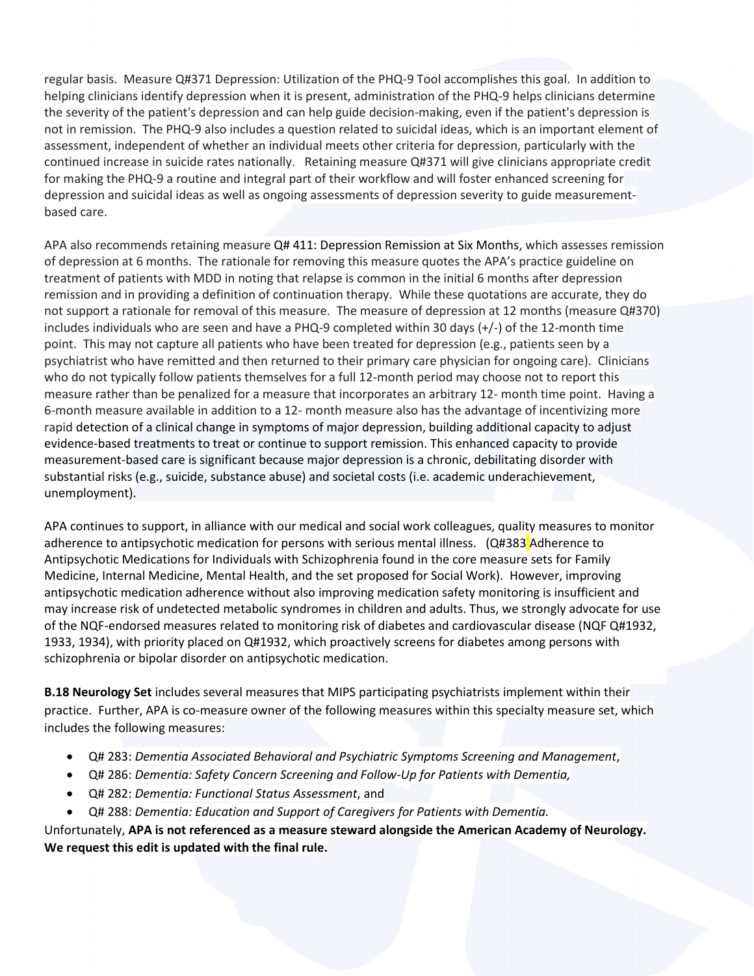regular basis. Measure Q#371 Depression: Utilization of the PHQ-9 Tool accomplishes this goal. In addition to helping clinicians identify depression when it is present, administration of the PHQ-9 helps clinicians determine the severity of the patient's depression and can help guide decision-making, even if the patient's depression is not in remission. The PHQ-9 also includes a question related to suicidal ideas, which is an important element of assessment, independent of whether an individual meets other criteria for depression, particularly with the continued increase in suicide rates nationally. Retaining measure Q#371 will give clinicians appropriate credit for making the PHQ-9 a routine and integral part of their workflow and will foster enhanced screening for depression and suicidal ideas as well as ongoing assessments of depression severity to guide measurementbased care.

APA also recommends retaining measure Q# 411: Depression Remission at Six Months, which assesses remission of depression at 6 months. The rationale for removing this measure quotes the APA's practice guideline on treatment of patients with MDD in noting that relapse is common in the initial 6 months after depression remission and in providing a definition of continuation therapy. While these quotations are accurate, they do not support a rationale for removal of this measure. The measure of depression at 12 months (measure Q#370) includes individuals who are seen and have a PHQ-9 completed within 30 days (+/-) of the 12-month time point. This may not capture all patients who have been treated for depression (e.g., patients seen by a psychiatrist who have remitted and then returned to their primary care physician for ongoing care). Clinicians who do not typically follow patients themselves for a full 12-month period may choose not to report this measure rather than be penalized for a measure that incorporates an arbitrary 12- month time point. Having a 6-month measure available in addition to a 12- month measure also has the advantage of incentivizing more rapid detection of a clinical change in symptoms of major depression, building additional capacity to adjust evidence-based treatments to treat or continue to support remission. This enhanced capacity to provide measurement-based care is significant because major depression is a chronic, debilitating disorder with substantial risks (e.g., suicide, substance abuse) and societal costs (i.e. academic underachievement, unemployment).

APA continues to support, in alliance with our medical and social work colleagues, quality measures to monitor adherence to antipsychotic medication for persons with serious mental illness. (Q#383 Adherence to Antipsychotic Medications for Individuals with Schizophrenia found in the core measure sets for Family Medicine, Internal Medicine, Mental Health, and the set proposed for Social Work). However, improving antipsychotic medication adherence without also improving medication safety monitoring is insufficient and may increase risk of undetected metabolic syndromes in children and adults. Thus, we strongly advocate for use of the NQF-endorsed measures related to monitoring risk of diabetes and cardiovascular disease (NQF Q#1932, 1933, 1934), with priority placed on Q#1932, which proactively screens for diabetes among persons with schizophrenia or bipolar disorder on antipsychotic medication.

**B.18 Neurology Set** includes several measures that MIPS participating psychiatrists implement within their practice. Further, APA is co-measure owner of the following measures within this specialty measure set, which includes the following measures:

- Q# 283: *Dementia Associated Behavioral and Psychiatric Symptoms Screening and Management*,
- Q# 286: *Dementia: Safety Concern Screening and Follow-Up for Patients with Dementia,*
- Q# 282: *Dementia: Functional Status Assessment*, and
- Q# 288: *Dementia: Education and Support of Caregivers for Patients with Dementia.*

Unfortunately, **APA is not referenced as a measure steward alongside the American Academy of Neurology. We request this edit is updated with the final rule.**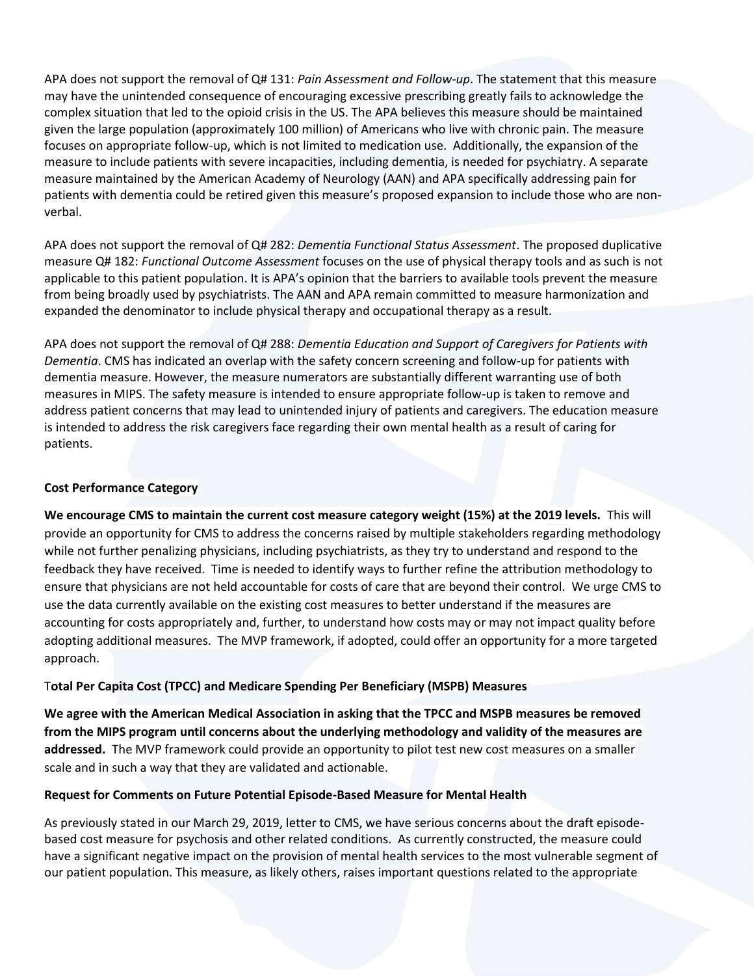APA does not support the removal of Q# 131: *Pain Assessment and Follow-up*. The statement that this measure may have the unintended consequence of encouraging excessive prescribing greatly fails to acknowledge the complex situation that led to the opioid crisis in the US. The APA believes this measure should be maintained given the large population (approximately 100 million) of Americans who live with chronic pain. The measure focuses on appropriate follow-up, which is not limited to medication use. Additionally, the expansion of the measure to include patients with severe incapacities, including dementia, is needed for psychiatry. A separate measure maintained by the American Academy of Neurology (AAN) and APA specifically addressing pain for patients with dementia could be retired given this measure's proposed expansion to include those who are nonverbal.

APA does not support the removal of Q# 282: *Dementia Functional Status Assessment*. The proposed duplicative measure Q# 182: *Functional Outcome Assessment* focuses on the use of physical therapy tools and as such is not applicable to this patient population. It is APA's opinion that the barriers to available tools prevent the measure from being broadly used by psychiatrists. The AAN and APA remain committed to measure harmonization and expanded the denominator to include physical therapy and occupational therapy as a result.

APA does not support the removal of Q# 288: *Dementia Education and Support of Caregivers for Patients with Dementia*. CMS has indicated an overlap with the safety concern screening and follow-up for patients with dementia measure. However, the measure numerators are substantially different warranting use of both measures in MIPS. The safety measure is intended to ensure appropriate follow-up is taken to remove and address patient concerns that may lead to unintended injury of patients and caregivers. The education measure is intended to address the risk caregivers face regarding their own mental health as a result of caring for patients.

### **Cost Performance Category**

**We encourage CMS to maintain the current cost measure category weight (15%) at the 2019 levels.** This will provide an opportunity for CMS to address the concerns raised by multiple stakeholders regarding methodology while not further penalizing physicians, including psychiatrists, as they try to understand and respond to the feedback they have received. Time is needed to identify ways to further refine the attribution methodology to ensure that physicians are not held accountable for costs of care that are beyond their control. We urge CMS to use the data currently available on the existing cost measures to better understand if the measures are accounting for costs appropriately and, further, to understand how costs may or may not impact quality before adopting additional measures. The MVP framework, if adopted, could offer an opportunity for a more targeted approach.

### T**otal Per Capita Cost (TPCC) and Medicare Spending Per Beneficiary (MSPB) Measures**

**We agree with the American Medical Association in asking that the TPCC and MSPB measures be removed from the MIPS program until concerns about the underlying methodology and validity of the measures are addressed.** The MVP framework could provide an opportunity to pilot test new cost measures on a smaller scale and in such a way that they are validated and actionable.

### **Request for Comments on Future Potential Episode-Based Measure for Mental Health**

As previously stated in our March 29, 2019, letter to CMS, we have serious concerns about the draft episodebased cost measure for psychosis and other related conditions. As currently constructed, the measure could have a significant negative impact on the provision of mental health services to the most vulnerable segment of our patient population. This measure, as likely others, raises important questions related to the appropriate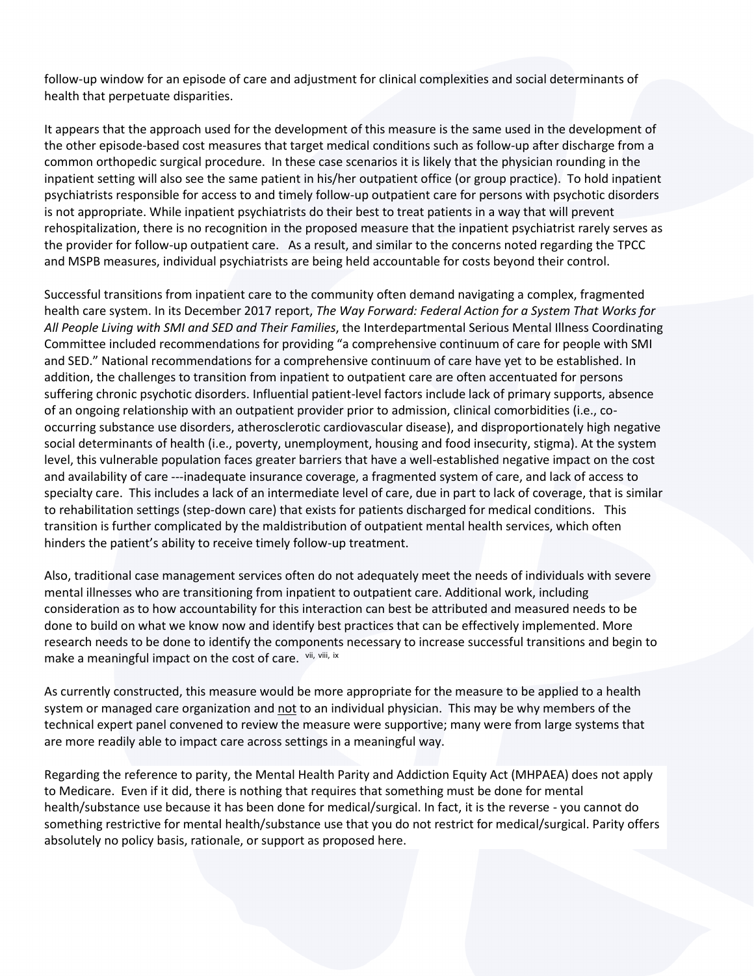follow-up window for an episode of care and adjustment for clinical complexities and social determinants of health that perpetuate disparities.

It appears that the approach used for the development of this measure is the same used in the development of the other episode-based cost measures that target medical conditions such as follow-up after discharge from a common orthopedic surgical procedure. In these case scenarios it is likely that the physician rounding in the inpatient setting will also see the same patient in his/her outpatient office (or group practice). To hold inpatient psychiatrists responsible for access to and timely follow-up outpatient care for persons with psychotic disorders is not appropriate. While inpatient psychiatrists do their best to treat patients in a way that will prevent rehospitalization, there is no recognition in the proposed measure that the inpatient psychiatrist rarely serves as the provider for follow-up outpatient care. As a result, and similar to the concerns noted regarding the TPCC and MSPB measures, individual psychiatrists are being held accountable for costs beyond their control.

Successful transitions from inpatient care to the community often demand navigating a complex, fragmented health care system. In its December 2017 report, *The Way Forward: Federal Action for a System That Works for All People Living with SMI and SED and Their Families*, the Interdepartmental Serious Mental Illness Coordinating Committee included recommendations for providing "a comprehensive continuum of care for people with SMI and SED." National recommendations for a comprehensive continuum of care have yet to be established. In addition, the challenges to transition from inpatient to outpatient care are often accentuated for persons suffering chronic psychotic disorders. Influential patient-level factors include lack of primary supports, absence of an ongoing relationship with an outpatient provider prior to admission, clinical comorbidities (i.e., cooccurring substance use disorders, atherosclerotic cardiovascular disease), and disproportionately high negative social determinants of health (i.e., poverty, unemployment, housing and food insecurity, stigma). At the system level, this vulnerable population faces greater barriers that have a well-established negative impact on the cost and availability of care ---inadequate insurance coverage, a fragmented system of care, and lack of access to specialty care. This includes a lack of an intermediate level of care, due in part to lack of coverage, that is similar to rehabilitation settings (step-down care) that exists for patients discharged for medical conditions. This transition is further complicated by the maldistribution of outpatient mental health services, which often hinders the patient's ability to receive timely follow-up treatment.

Also, traditional case management services often do not adequately meet the needs of individuals with severe mental illnesses who are transitioning from inpatient to outpatient care. Additional work, including consideration as to how accountability for this interaction can best be attributed and measured needs to be done to build on what we know now and identify best practices that can be effectively implemented. More research needs to be done to identify the components necessary to increase successful transitions and begin to make a meaningful impact on the cost of care. Vii, Vili, ix

As currently constructed, this measure would be more appropriate for the measure to be applied to a health system or managed care organization and not to an individual physician. This may be why members of the technical expert panel convened to review the measure were supportive; many were from large systems that are more readily able to impact care across settings in a meaningful way.

Regarding the reference to parity, the Mental Health Parity and Addiction Equity Act (MHPAEA) does not apply to Medicare. Even if it did, there is nothing that requires that something must be done for mental health/substance use because it has been done for medical/surgical. In fact, it is the reverse - you cannot do something restrictive for mental health/substance use that you do not restrict for medical/surgical. Parity offers absolutely no policy basis, rationale, or support as proposed here.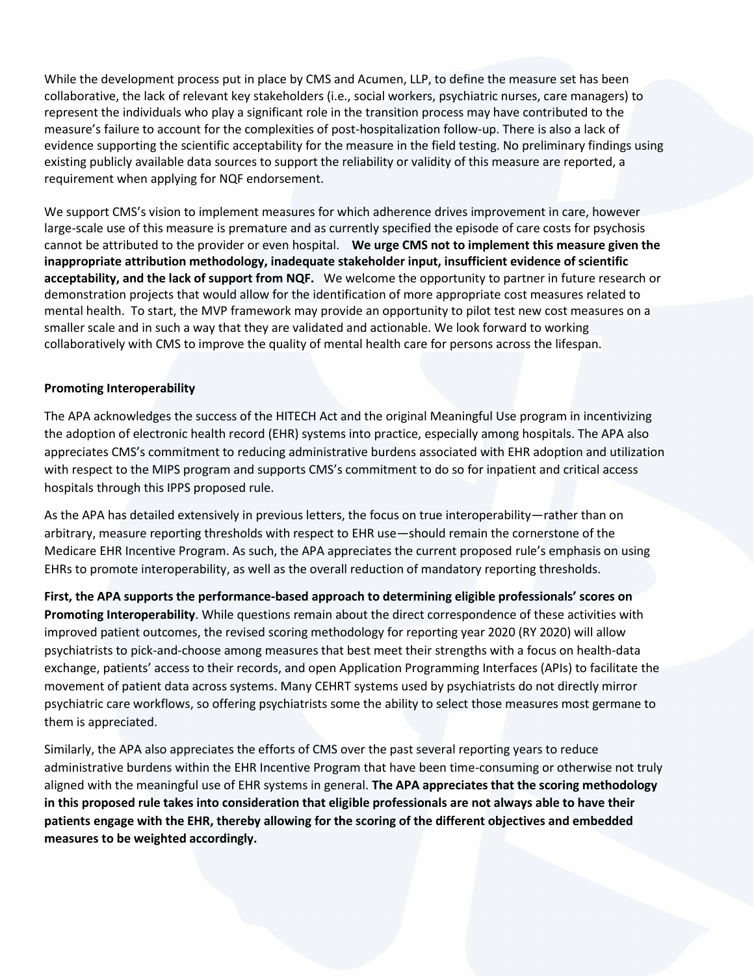While the development process put in place by CMS and Acumen, LLP, to define the measure set has been collaborative, the lack of relevant key stakeholders (i.e., social workers, psychiatric nurses, care managers) to represent the individuals who play a significant role in the transition process may have contributed to the measure's failure to account for the complexities of post-hospitalization follow-up. There is also a lack of evidence supporting the scientific acceptability for the measure in the field testing. No preliminary findings using existing publicly available data sources to support the reliability or validity of this measure are reported, a requirement when applying for NQF endorsement.

We support CMS's vision to implement measures for which adherence drives improvement in care, however large-scale use of this measure is premature and as currently specified the episode of care costs for psychosis cannot be attributed to the provider or even hospital. **We urge CMS not to implement this measure given the inappropriate attribution methodology, inadequate stakeholder input, insufficient evidence of scientific acceptability, and the lack of support from NQF.** We welcome the opportunity to partner in future research or demonstration projects that would allow for the identification of more appropriate cost measures related to mental health. To start, the MVP framework may provide an opportunity to pilot test new cost measures on a smaller scale and in such a way that they are validated and actionable. We look forward to working collaboratively with CMS to improve the quality of mental health care for persons across the lifespan.

### **Promoting Interoperability**

The APA acknowledges the success of the HITECH Act and the original Meaningful Use program in incentivizing the adoption of electronic health record (EHR) systems into practice, especially among hospitals. The APA also appreciates CMS's commitment to reducing administrative burdens associated with EHR adoption and utilization with respect to the MIPS program and supports CMS's commitment to do so for inpatient and critical access hospitals through this IPPS proposed rule.

As the APA has detailed extensively in previous letters, the focus on true interoperability—rather than on arbitrary, measure reporting thresholds with respect to EHR use—should remain the cornerstone of the Medicare EHR Incentive Program. As such, the APA appreciates the current proposed rule's emphasis on using EHRs to promote interoperability, as well as the overall reduction of mandatory reporting thresholds.

**First, the APA supports the performance-based approach to determining eligible professionals' scores on Promoting Interoperability**. While questions remain about the direct correspondence of these activities with improved patient outcomes, the revised scoring methodology for reporting year 2020 (RY 2020) will allow psychiatrists to pick-and-choose among measures that best meet their strengths with a focus on health-data exchange, patients' access to their records, and open Application Programming Interfaces (APIs) to facilitate the movement of patient data across systems. Many CEHRT systems used by psychiatrists do not directly mirror psychiatric care workflows, so offering psychiatrists some the ability to select those measures most germane to them is appreciated.

Similarly, the APA also appreciates the efforts of CMS over the past several reporting years to reduce administrative burdens within the EHR Incentive Program that have been time-consuming or otherwise not truly aligned with the meaningful use of EHR systems in general. **The APA appreciates that the scoring methodology in this proposed rule takes into consideration that eligible professionals are not always able to have their patients engage with the EHR, thereby allowing for the scoring of the different objectives and embedded measures to be weighted accordingly.**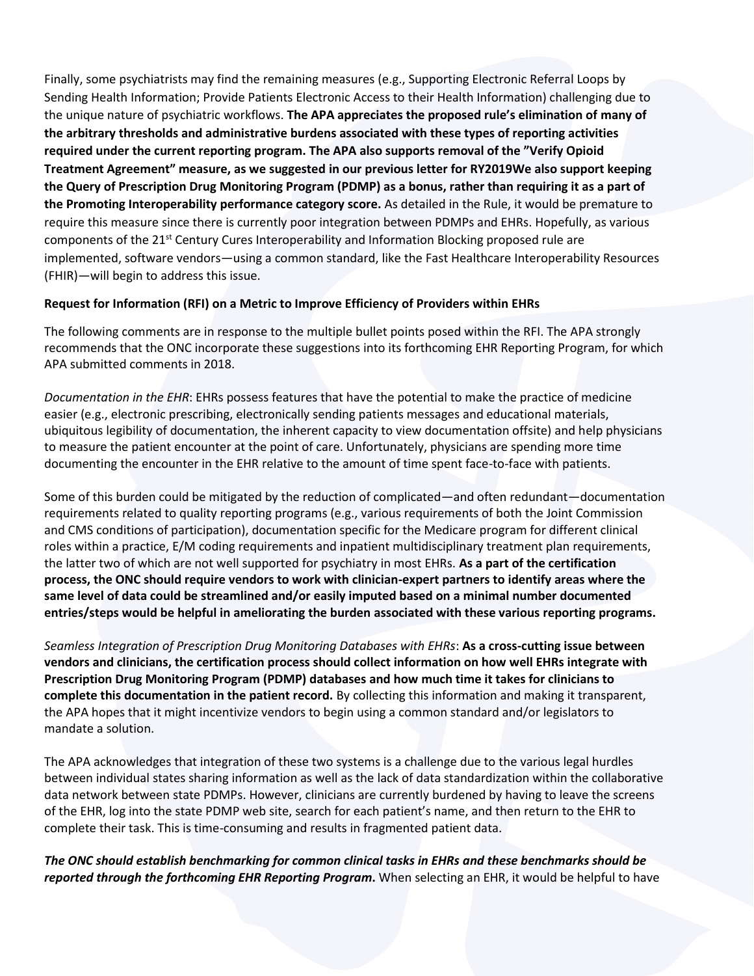Finally, some psychiatrists may find the remaining measures (e.g., Supporting Electronic Referral Loops by Sending Health Information; Provide Patients Electronic Access to their Health Information) challenging due to the unique nature of psychiatric workflows. **The APA appreciates the proposed rule's elimination of many of the arbitrary thresholds and administrative burdens associated with these types of reporting activities required under the current reporting program. The APA also supports removal of the "Verify Opioid Treatment Agreement" measure, as we suggested in our previous letter for RY2019We also support keeping the Query of Prescription Drug Monitoring Program (PDMP) as a bonus, rather than requiring it as a part of the Promoting Interoperability performance category score.** As detailed in the Rule, it would be premature to require this measure since there is currently poor integration between PDMPs and EHRs. Hopefully, as various components of the 21st Century Cures Interoperability and Information Blocking proposed rule are implemented, software vendors—using a common standard, like the Fast Healthcare Interoperability Resources (FHIR)—will begin to address this issue.

## **Request for Information (RFI) on a Metric to Improve Efficiency of Providers within EHRs**

The following comments are in response to the multiple bullet points posed within the RFI. The APA strongly recommends that the ONC incorporate these suggestions into its forthcoming EHR Reporting Program, for which APA submitted comments in 2018.

*Documentation in the EHR*: EHRs possess features that have the potential to make the practice of medicine easier (e.g., electronic prescribing, electronically sending patients messages and educational materials, ubiquitous legibility of documentation, the inherent capacity to view documentation offsite) and help physicians to measure the patient encounter at the point of care. Unfortunately, physicians are spending more time documenting the encounter in the EHR relative to the amount of time spent face-to-face with patients.

Some of this burden could be mitigated by the reduction of complicated—and often redundant—documentation requirements related to quality reporting programs (e.g., various requirements of both the Joint Commission and CMS conditions of participation), documentation specific for the Medicare program for different clinical roles within a practice, E/M coding requirements and inpatient multidisciplinary treatment plan requirements, the latter two of which are not well supported for psychiatry in most EHRs. **As a part of the certification process, the ONC should require vendors to work with clinician-expert partners to identify areas where the same level of data could be streamlined and/or easily imputed based on a minimal number documented entries/steps would be helpful in ameliorating the burden associated with these various reporting programs.**

*Seamless Integration of Prescription Drug Monitoring Databases with EHRs*: **As a cross-cutting issue between vendors and clinicians, the certification process should collect information on how well EHRs integrate with Prescription Drug Monitoring Program (PDMP) databases and how much time it takes for clinicians to complete this documentation in the patient record.** By collecting this information and making it transparent, the APA hopes that it might incentivize vendors to begin using a common standard and/or legislators to mandate a solution.

The APA acknowledges that integration of these two systems is a challenge due to the various legal hurdles between individual states sharing information as well as the lack of data standardization within the collaborative data network between state PDMPs. However, clinicians are currently burdened by having to leave the screens of the EHR, log into the state PDMP web site, search for each patient's name, and then return to the EHR to complete their task. This is time-consuming and results in fragmented patient data.

*The ONC should establish benchmarking for common clinical tasks in EHRs and these benchmarks should be reported through the forthcoming EHR Reporting Program***.** When selecting an EHR, it would be helpful to have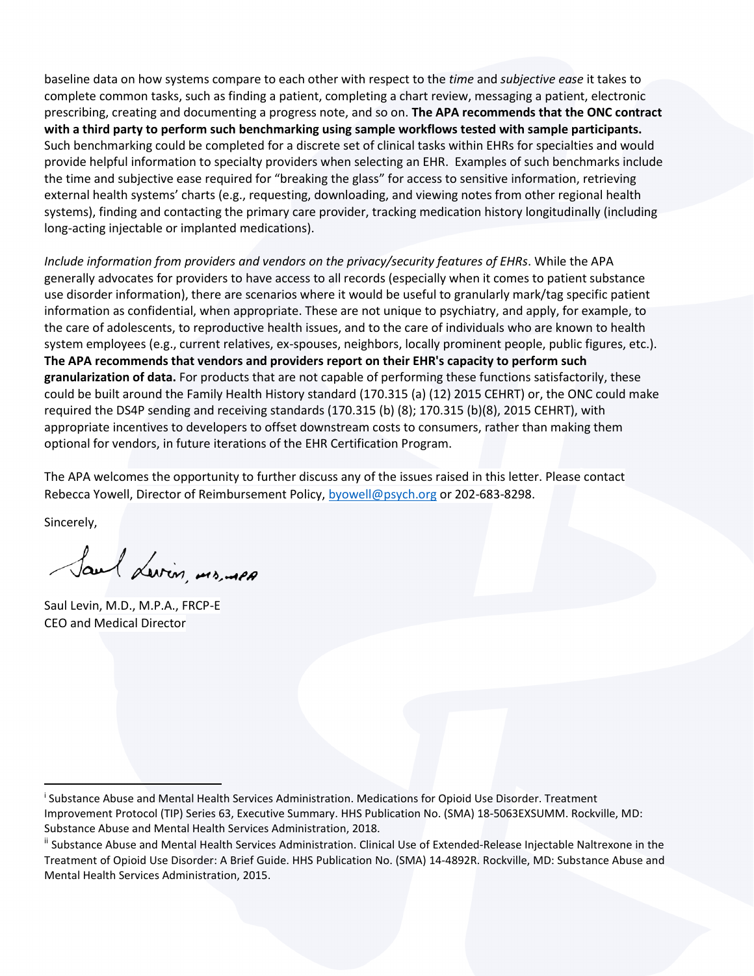baseline data on how systems compare to each other with respect to the *time* and *subjective ease* it takes to complete common tasks, such as finding a patient, completing a chart review, messaging a patient, electronic prescribing, creating and documenting a progress note, and so on. **The APA recommends that the ONC contract with a third party to perform such benchmarking using sample workflows tested with sample participants.**  Such benchmarking could be completed for a discrete set of clinical tasks within EHRs for specialties and would provide helpful information to specialty providers when selecting an EHR. Examples of such benchmarks include the time and subjective ease required for "breaking the glass" for access to sensitive information, retrieving external health systems' charts (e.g., requesting, downloading, and viewing notes from other regional health systems), finding and contacting the primary care provider, tracking medication history longitudinally (including long-acting injectable or implanted medications).

*Include information from providers and vendors on the privacy/security features of EHRs*. While the APA generally advocates for providers to have access to all records (especially when it comes to patient substance use disorder information), there are scenarios where it would be useful to granularly mark/tag specific patient information as confidential, when appropriate. These are not unique to psychiatry, and apply, for example, to the care of adolescents, to reproductive health issues, and to the care of individuals who are known to health system employees (e.g., current relatives, ex-spouses, neighbors, locally prominent people, public figures, etc.). **The APA recommends that vendors and providers report on their EHR's capacity to perform such granularization of data.** For products that are not capable of performing these functions satisfactorily, these could be built around the Family Health History standard (170.315 (a) (12) 2015 CEHRT) or, the ONC could make required the DS4P sending and receiving standards (170.315 (b) (8); 170.315 (b)(8), 2015 CEHRT), with appropriate incentives to developers to offset downstream costs to consumers, rather than making them optional for vendors, in future iterations of the EHR Certification Program.

The APA welcomes the opportunity to further discuss any of the issues raised in this letter. Please contact Rebecca Yowell, Director of Reimbursement Policy, [byowell@psych.org](mailto:byowell@psych.org) or 202-683-8298.

Sincerely,

Saul Levin, mrs, men

Saul Levin, M.D., M.P.A., FRCP-E CEO and Medical Director

i Substance Abuse and Mental Health Services Administration. Medications for Opioid Use Disorder. Treatment Improvement Protocol (TIP) Series 63, Executive Summary. HHS Publication No. (SMA) 18‐5063EXSUMM. Rockville, MD: Substance Abuse and Mental Health Services Administration, 2018.

ii Substance Abuse and Mental Health Services Administration. Clinical Use of Extended‐Release Injectable Naltrexone in the Treatment of Opioid Use Disorder: A Brief Guide. HHS Publication No. (SMA) 14‐4892R. Rockville, MD: Substance Abuse and Mental Health Services Administration, 2015.